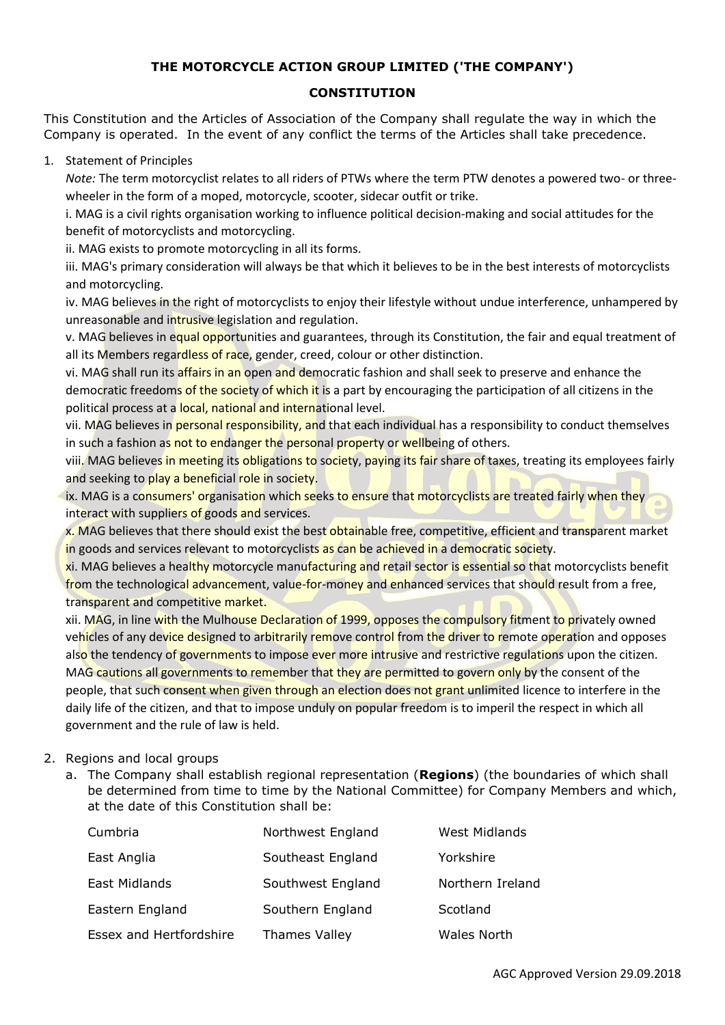### **THE MOTORCYCLE ACTION GROUP LIMITED ('THE COMPANY')**

## **CONSTITUTION**

This Constitution and the Articles of Association of the Company shall regulate the way in which the Company is operated. In the event of any conflict the terms of the Articles shall take precedence.

1. Statement of Principles

*Note:* The term motorcyclist relates to all riders of PTWs where the term PTW denotes a powered two- or threewheeler in the form of a moped, motorcycle, scooter, sidecar outfit or trike.

i. MAG is a civil rights organisation working to influence political decision-making and social attitudes for the benefit of motorcyclists and motorcycling.

ii. MAG exists to promote motorcycling in all its forms.

iii. MAG's primary consideration will always be that which it believes to be in the best interests of motorcyclists and motorcycling.

iv. MAG believes in the right of motorcyclists to enjoy their lifestyle without undue interference, unhampered by unreasonable and intrusive legislation and regulation.

v. MAG believes in equal opportunities and guarantees, through its Constitution, the fair and equal treatment of all its Members regardless of race, gender, creed, colour or other distinction.

vi. MAG shall run its affairs in an open and democratic fashion and shall seek to preserve and enhance the democratic freedoms of the society of which it is a part by encouraging the participation of all citizens in the political process at a local, national and international level.

vii. MAG believes in personal responsibility, and that each individual has a responsibility to conduct themselves in such a fashion as not to endanger the personal property or wellbeing of others.

viii. MAG believes in meeting its obligations to society, paying its fair share of taxes, treating its employees fairly and seeking to play a beneficial role in society.

ix. MAG is a consumers' organisation which seeks to ensure that motorcyclists are treated fairly when they interact with suppliers of goods and services.

x. MAG believes that there should exist the best obtainable free, competitive, efficient and transparent market in goods and services relevant to motorcyclists as can be achieved in a democratic society.

xi. MAG believes a healthy motorcycle manufacturing and retail sector is essential so that motorcyclists benefit from the technological advancement, value-for-money and enhanced services that should result from a free, transparent and competitive market.

xii. MAG, in line with the Mulhouse Declaration of 1999, opposes the compulsory fitment to privately owned vehicles of any device designed to arbitrarily remove control from the driver to remote operation and opposes also the tendency of governments to impose ever more intrusive and restrictive regulations upon the citizen. MAG cautions all governments to remember that they are permitted to govern only by the consent of the people, that such consent when given through an election does not grant unlimited licence to interfere in the daily life of the citizen, and that to impose unduly on popular freedom is to imperil the respect in which all government and the rule of law is held.

### 2. Regions and local groups

a. The Company shall establish regional representation (**Regions**) (the boundaries of which shall be determined from time to time by the National Committee) for Company Members and which, at the date of this Constitution shall be:

| Cumbria                 | Northwest England    | <b>West Midlands</b> |
|-------------------------|----------------------|----------------------|
| East Anglia             | Southeast England    | Yorkshire            |
| East Midlands           | Southwest England    | Northern Ireland     |
| Eastern England         | Southern England     | Scotland             |
| Essex and Hertfordshire | <b>Thames Valley</b> | Wales North          |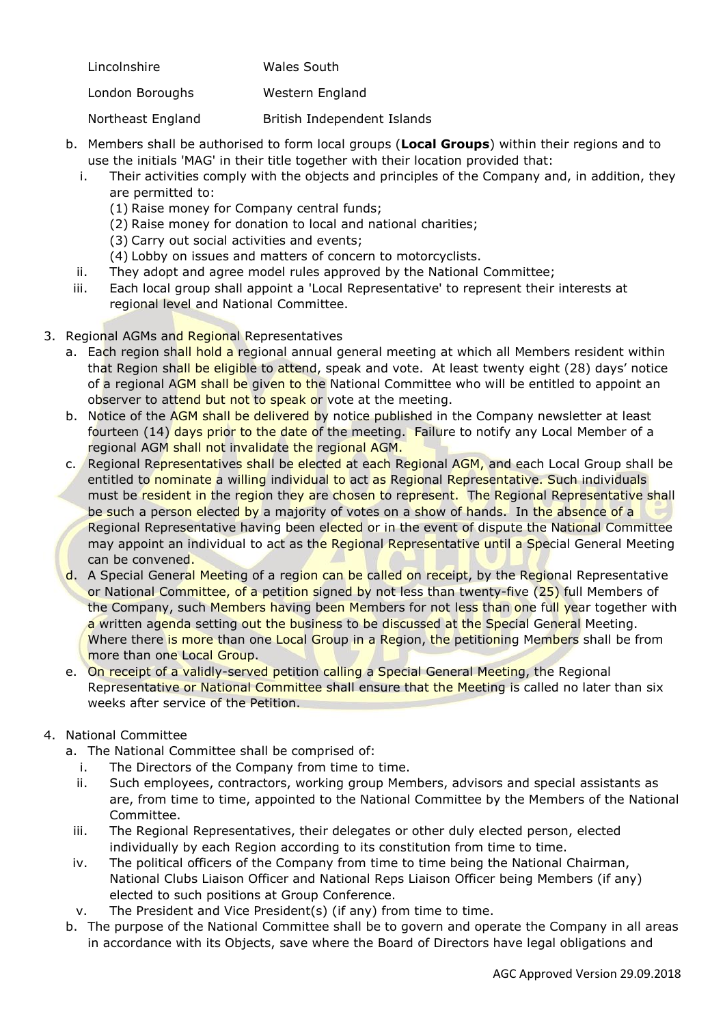| Wales South |
|-------------|
|             |
|             |

London Boroughs Western England

Northeast England British Independent Islands

- b. Members shall be authorised to form local groups (**Local Groups**) within their regions and to use the initials 'MAG' in their title together with their location provided that:
	- i. Their activities comply with the objects and principles of the Company and, in addition, they are permitted to:
		- (1) Raise money for Company central funds;
		- (2) Raise money for donation to local and national charities;
		- (3) Carry out social activities and events;
		- (4) Lobby on issues and matters of concern to motorcyclists.
	- ii. They adopt and agree model rules approved by the National Committee;
- iii. Each local group shall appoint a 'Local Representative' to represent their interests at regional level and National Committee.
- 3. Regional AGMs and Regional Representatives
	- a. Each region shall hold a regional annual general meeting at which all Members resident within that Region shall be eligible to attend, speak and vote. At least twenty eight (28) days' notice of a regional AGM shall be given to the National Committee who will be entitled to appoint an observer to attend but not to speak or vote at the meeting.
	- b. Notice of the AGM shall be delivered by notice published in the Company newsletter at least fourteen (14) days prior to the date of the meeting. Failure to notify any Local Member of a regional AGM shall not invalidate the regional AGM.
	- c. Regional Representatives shall be elected at each Regional AGM, and each Local Group shall be entitled to nominate a willing individual to act as Regional Representative. Such individuals must be resident in the region they are chosen to represent. The Regional Representative shall be such a person elected by a majority of votes on a show of hands. In the absence of a Regional Representative having been elected or in the event of dispute the National Committee may appoint an individual to act as the Regional Representative until a Special General Meeting can be convened.
	- d. A Special General Meeting of a region can be called on receipt, by the Regional Representative or National Committee, of a petition signed by not less than twenty-five (25) full Members of the Company, such Members having been Members for not less than one full year together with a written agenda setting out the business to be discussed at the Special General Meeting. Where there is more than one Local Group in a Region, the petitioning Members shall be from more than one Local Group.
	- e. On receipt of a validly-served petition calling a Special General Meeting, the Regional Representative or National Committee shall ensure that the Meeting is called no later than six weeks after service of the Petition.

# 4. National Committee

- a. The National Committee shall be comprised of:
	- i. The Directors of the Company from time to time.
	- ii. Such employees, contractors, working group Members, advisors and special assistants as are, from time to time, appointed to the National Committee by the Members of the National Committee.
- iii. The Regional Representatives, their delegates or other duly elected person, elected individually by each Region according to its constitution from time to time.
- iv. The political officers of the Company from time to time being the National Chairman, National Clubs Liaison Officer and National Reps Liaison Officer being Members (if any) elected to such positions at Group Conference.
- v. The President and Vice President(s) (if any) from time to time.
- b. The purpose of the National Committee shall be to govern and operate the Company in all areas in accordance with its Objects, save where the Board of Directors have legal obligations and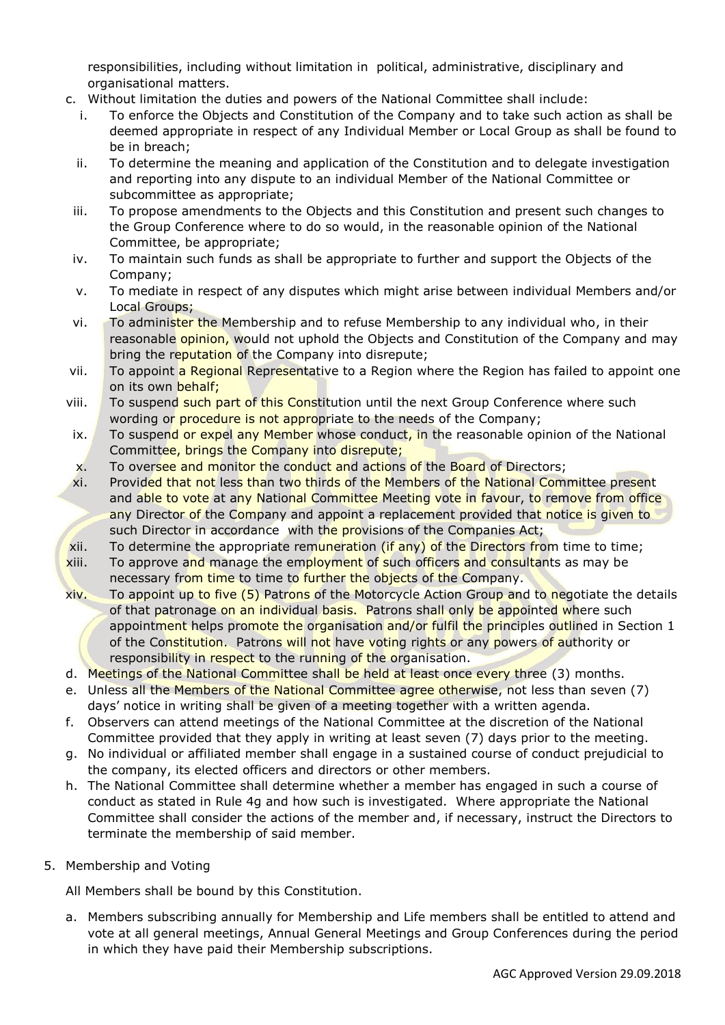responsibilities, including without limitation in political, administrative, disciplinary and organisational matters.

- c. Without limitation the duties and powers of the National Committee shall include:
	- i. To enforce the Objects and Constitution of the Company and to take such action as shall be deemed appropriate in respect of any Individual Member or Local Group as shall be found to be in breach;
	- ii. To determine the meaning and application of the Constitution and to delegate investigation and reporting into any dispute to an individual Member of the National Committee or subcommittee as appropriate;
- iii. To propose amendments to the Objects and this Constitution and present such changes to the Group Conference where to do so would, in the reasonable opinion of the National Committee, be appropriate;
- iv. To maintain such funds as shall be appropriate to further and support the Objects of the Company;
- v. To mediate in respect of any disputes which might arise between individual Members and/or Local Groups;
- vi. To administer the Membership and to refuse Membership to any individual who, in their reasonable opinion, would not uphold the Objects and Constitution of the Company and may bring the reputation of the Company into disrepute;
- vii. To appoint a Regional Representative to a Region where the Region has failed to appoint one on its own behalf;
- viii. To suspend such part of this Constitution until the next Group Conference where such wording or procedure is not appropriate to the needs of the Company;
- ix. To suspend or expel any Member whose conduct, in the reasonable opinion of the National Committee, brings the Company into disrepute;
- x. To oversee and monitor the conduct and actions of the Board of Directors;
- xi. Provided that not less than two thirds of the Members of the National Committee present and able to vote at any National Committee Meeting vote in favour, to remove from office any Director of the Company and appoint a replacement provided that notice is given to such Director in accordance with the provisions of the Companies Act;
- xii. To determine the appropriate remuneration (if any) of the Directors from time to time;
- xiii. To approve and manage the employment of such officers and consultants as may be necessary from time to time to further the objects of the Company.
- xiv. To appoint up to five (5) Patrons of the Motorcycle Action Group and to negotiate the details of that patronage on an individual basis. Patrons shall only be appointed where such appointment helps promote the organisation and/or fulfil the principles outlined in Section 1 of the Constitution. Patrons will not have voting rights or any powers of authority or responsibility in respect to the running of the organisation.
- d. Meetings of the National Committee shall be held at least once every three (3) months.
- e. Unless all the Members of the National Committee agree otherwise, not less than seven (7) days' notice in writing shall be given of a meeting together with a written agenda.
- f. Observers can attend meetings of the National Committee at the discretion of the National Committee provided that they apply in writing at least seven (7) days prior to the meeting.
- g. No individual or affiliated member shall engage in a sustained course of conduct prejudicial to the company, its elected officers and directors or other members.
- h. The National Committee shall determine whether a member has engaged in such a course of conduct as stated in Rule 4g and how such is investigated. Where appropriate the National Committee shall consider the actions of the member and, if necessary, instruct the Directors to terminate the membership of said member.
- 5. Membership and Voting

All Members shall be bound by this Constitution.

a. Members subscribing annually for Membership and Life members shall be entitled to attend and vote at all general meetings, Annual General Meetings and Group Conferences during the period in which they have paid their Membership subscriptions.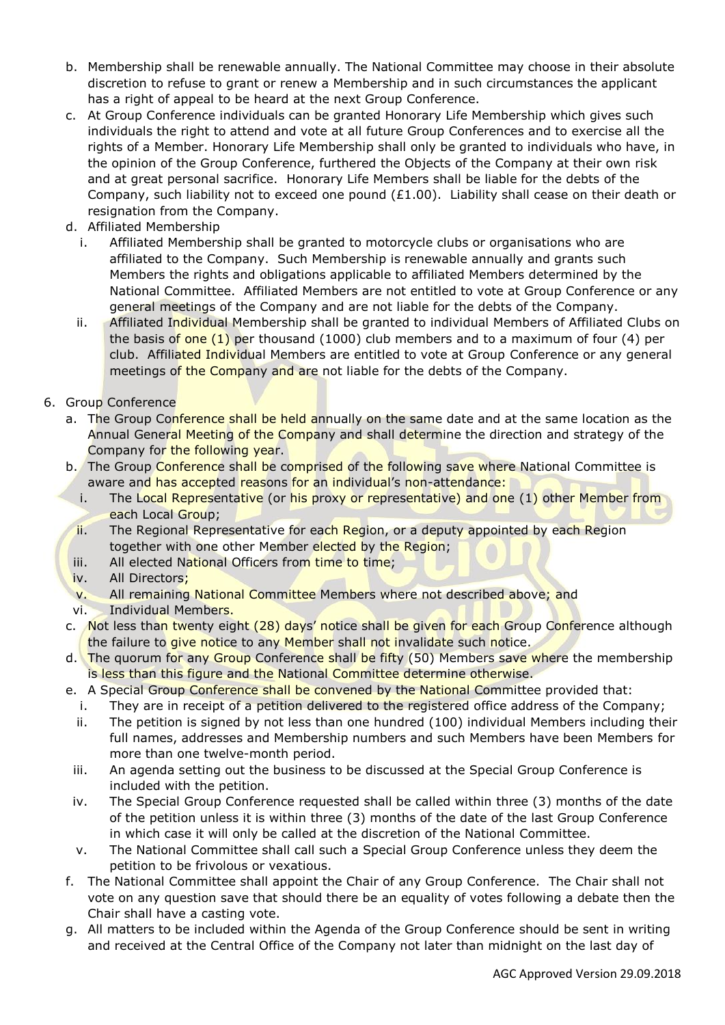- b. Membership shall be renewable annually. The National Committee may choose in their absolute discretion to refuse to grant or renew a Membership and in such circumstances the applicant has a right of appeal to be heard at the next Group Conference.
- c. At Group Conference individuals can be granted Honorary Life Membership which gives such individuals the right to attend and vote at all future Group Conferences and to exercise all the rights of a Member. Honorary Life Membership shall only be granted to individuals who have, in the opinion of the Group Conference, furthered the Objects of the Company at their own risk and at great personal sacrifice. Honorary Life Members shall be liable for the debts of the Company, such liability not to exceed one pound (£1.00). Liability shall cease on their death or resignation from the Company.
- d. Affiliated Membership
	- i. Affiliated Membership shall be granted to motorcycle clubs or organisations who are affiliated to the Company. Such Membership is renewable annually and grants such Members the rights and obligations applicable to affiliated Members determined by the National Committee. Affiliated Members are not entitled to vote at Group Conference or any general meetings of the Company and are not liable for the debts of the Company.
	- ii. Affiliated Individual Membership shall be granted to individual Members of Affiliated Clubs on the basis of one  $(1)$  per thousand (1000) club members and to a maximum of four  $(4)$  per club. Affiliated Individual Members are entitled to vote at Group Conference or any general meetings of the Company and are not liable for the debts of the Company.
- 6. Group Conference
	- a. The Group Conference shall be held annually on the same date and at the same location as the Annual General Meeting of the Company and shall determine the direction and strategy of the Company for the following year.
	- b. The Group Conference shall be comprised of the following save where National Committee is aware and has accepted reasons for an individual's non-attendance:
		- i. The Local Representative (or his proxy or representative) and one (1) other Member from each Local Group;
	- ii. The Regional Representative for each Region, or a deputy appointed by each Region together with one other Member elected by the Region;
	- iii. All elected National Officers from time to time;
	- iv. All Directors:
	- v. All remaining National Committee Members where not described above; and
	- vi. Individual Members.
	- c. Not less than twenty eight (28) days' notice shall be given for each Group Conference although the failure to give notice to any Member shall not invalidate such notice.
	- d. The quorum for any Group Conference shall be fifty (50) Members save where the membership is less than this figure and the National Committee determine otherwise.
	- e. A Special Group Conference shall be convened by the National Committee provided that:
		- i. They are in receipt of a petition delivered to the registered office address of the Company;
		- ii. The petition is signed by not less than one hundred (100) individual Members including their full names, addresses and Membership numbers and such Members have been Members for more than one twelve-month period.
		- iii. An agenda setting out the business to be discussed at the Special Group Conference is included with the petition.
		- iv. The Special Group Conference requested shall be called within three (3) months of the date of the petition unless it is within three (3) months of the date of the last Group Conference in which case it will only be called at the discretion of the National Committee.
		- v. The National Committee shall call such a Special Group Conference unless they deem the petition to be frivolous or vexatious.
	- f. The National Committee shall appoint the Chair of any Group Conference. The Chair shall not vote on any question save that should there be an equality of votes following a debate then the Chair shall have a casting vote.
	- g. All matters to be included within the Agenda of the Group Conference should be sent in writing and received at the Central Office of the Company not later than midnight on the last day of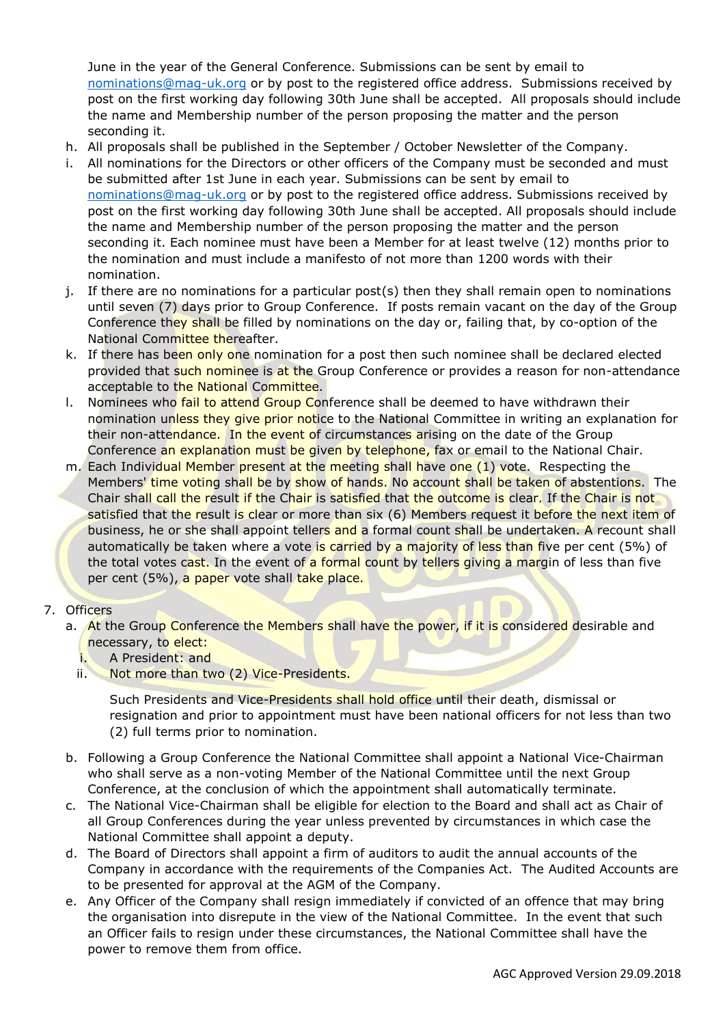June in the year of the General Conference. Submissions can be sent by email to [nominations@mag-uk.org](mailto:nominations@mag-uk.org) or by post to the registered office address. Submissions received by post on the first working day following 30th June shall be accepted. All proposals should include the name and Membership number of the person proposing the matter and the person seconding it.

- h. All proposals shall be published in the September / October Newsletter of the Company.
- i. All nominations for the Directors or other officers of the Company must be seconded and must be submitted after 1st June in each year. Submissions can be sent by email to [nominations@mag-uk.org](mailto:nominations@mag-uk.org) or by post to the registered office address. Submissions received by post on the first working day following 30th June shall be accepted. All proposals should include the name and Membership number of the person proposing the matter and the person seconding it. Each nominee must have been a Member for at least twelve (12) months prior to the nomination and must include a manifesto of not more than 1200 words with their nomination.
- j. If there are no nominations for a particular post(s) then they shall remain open to nominations until seven (7) days prior to Group Conference. If posts remain vacant on the day of the Group Conference they shall be filled by nominations on the day or, failing that, by co-option of the National Committee thereafter.
- k. If there has been only one nomination for a post then such nominee shall be declared elected provided that such nominee is at the Group Conference or provides a reason for non-attendance acceptable to the National Committee.
- l. Nominees who *fail to attend Group Conference shall be deemed to have withdrawn their* nomination unless they give prior notice to the National Committee in writing an explanation for their non-attendance. In the event of circumstances arising on the date of the Group Conference an explanation must be given by telephone, fax or email to the National Chair.
- m. Each Individual Member present at the meeting shall have one (1) vote. Respecting the Members' time voting shall be by show of hands. No account shall be taken of abstentions. The Chair shall call the result if the Chair is satisfied that the outcome is clear. If the Chair is not satisfied that the result is clear or more than six (6) Members request it before the next item of business, he or she shall appoint tellers and a formal count shall be undertaken. A recount shall automatically be taken where a vote is carried by a majority of less than five per cent (5%) of the total votes cast. In the event of a formal count by tellers giving a margin of less than five per cent (5%), a paper vote shall take place.

### 7. Officers

- a. At the Group Conference the Members shall have the power, if it is considered desirable and necessary, to elect:
	- i. A President: and
	- ii. Not more than two (2) Vice-Presidents.

Such Presidents and Vice-Presidents shall hold office until their death, dismissal or resignation and prior to appointment must have been national officers for not less than two (2) full terms prior to nomination.

- b. Following a Group Conference the National Committee shall appoint a National Vice-Chairman who shall serve as a non-voting Member of the National Committee until the next Group Conference, at the conclusion of which the appointment shall automatically terminate.
- c. The National Vice-Chairman shall be eligible for election to the Board and shall act as Chair of all Group Conferences during the year unless prevented by circumstances in which case the National Committee shall appoint a deputy.
- d. The Board of Directors shall appoint a firm of auditors to audit the annual accounts of the Company in accordance with the requirements of the Companies Act. The Audited Accounts are to be presented for approval at the AGM of the Company.
- e. Any Officer of the Company shall resign immediately if convicted of an offence that may bring the organisation into disrepute in the view of the National Committee. In the event that such an Officer fails to resign under these circumstances, the National Committee shall have the power to remove them from office.